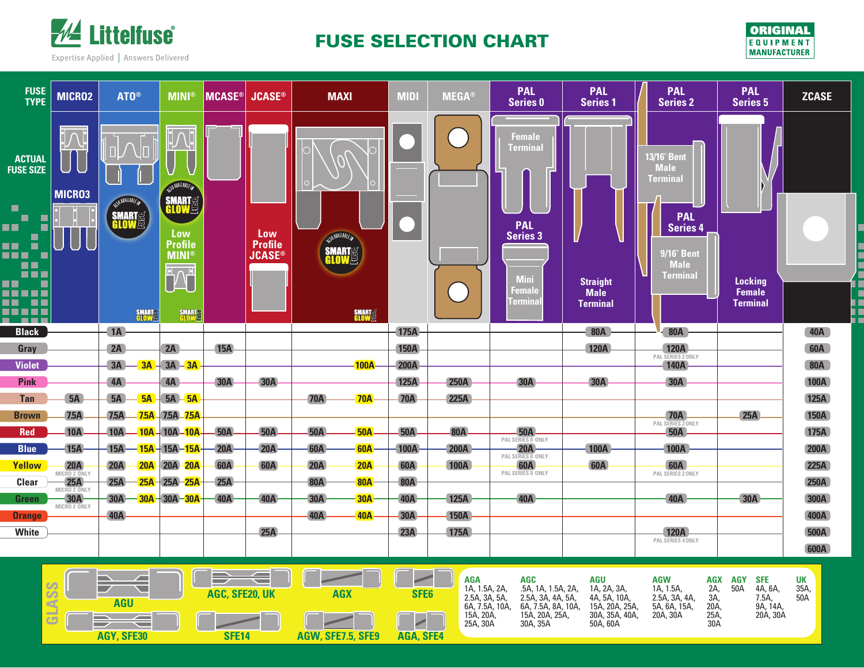

## FUSE SELECTION CHART



. .

| <b>FUSE</b><br><b>TYPE</b>                                                    | MICRO2              | ATO <sup>®</sup>                         | <b>MINI®</b>                                                                  | <b>MCASE®</b> | <b>JCASE®</b>                          | <b>MAXI</b>                                        | <b>MID</b>  | <b>MEGA®</b> | <b>PAL</b><br><b>Series 0</b> | <b>PAL</b><br><b>Series 1</b>  | <b>PAL</b><br><b>Series 2</b>                      | <b>PAL</b><br><b>Series 5</b> | <b>ZCASE</b> |
|-------------------------------------------------------------------------------|---------------------|------------------------------------------|-------------------------------------------------------------------------------|---------------|----------------------------------------|----------------------------------------------------|-------------|--------------|-------------------------------|--------------------------------|----------------------------------------------------|-------------------------------|--------------|
|                                                                               |                     |                                          |                                                                               |               |                                        |                                                    |             |              |                               |                                |                                                    |                               |              |
| <b>ACTUAL</b><br><b>FUSE SIZE</b>                                             |                     |                                          | NSD NAMLABLE IN                                                               |               |                                        |                                                    |             |              | Female<br>Ferminal            |                                | 13/16" Bent<br>Male<br><b>Terminal</b>             |                               |              |
| $\blacksquare$<br>П<br>m<br>$\blacksquare$<br>n ک<br>×<br>an a<br><b>TELE</b> | MICR03              | NANLABLE<br><b>SMART</b><br><b>GLOWE</b> | <b>SMART<sup>S</sup></b><br>Low<br><b>Profile</b><br><b>MINI</b> <sup>®</sup> |               | Low<br><b>Profile</b><br><b>JCASE®</b> | WANAHABLE IN<br><b>SMART<sup>er</sup></b><br>Glowe |             |              | <b>PAL</b><br><b>Series 3</b> |                                | <b>PAL</b><br><b>Series 4</b><br><b>9/16" Bent</b> |                               |              |
| n El<br><u>in a</u><br>n ا<br>$\blacksquare$                                  |                     |                                          | <b>LOU</b>                                                                    |               |                                        |                                                    |             |              | <b>Mini</b>                   | <b>Straight</b>                | <b>Male</b><br>Terminal                            | <b>Locking</b>                |              |
| -----<br><u>na na </u><br>n 11   11   11                                      |                     | <b>SMARTES</b>                           | <b>SMARTS</b>                                                                 |               |                                        | <b>SMARTEE</b>                                     |             |              | Female<br>Termina             | <b>Male</b><br><b>Terminal</b> |                                                    | Female<br><b>Terminal</b>     |              |
| .<br><b>Black</b>                                                             |                     | 1A                                       |                                                                               |               |                                        |                                                    | 175A        |              |                               | <b>80A</b>                     | $-80A$                                             |                               | 40A          |
| Gray                                                                          |                     | 2A                                       | 2A                                                                            | <b>15A</b>    |                                        |                                                    | <b>150A</b> |              |                               | <b>120A</b>                    | <b>120A</b>                                        |                               | <b>60A</b>   |
| <b>Violet</b>                                                                 |                     | 3A<br>$-$ 3A $+$                         | $3A - 3A$                                                                     |               |                                        | 100A                                               | <b>200A</b> |              |                               |                                | PAL SERIES 2 ONLY<br><b>140A</b>                   |                               | <b>80A</b>   |
| <b>Pink</b>                                                                   |                     | 4A                                       | 4A                                                                            | 30A           | <b>30A</b>                             |                                                    | 125A        | <b>250A</b>  | <b>30A</b>                    | <b>30A</b>                     | <b>30A</b>                                         |                               | <b>100A</b>  |
| <b>Tan</b>                                                                    | 5A                  | 5A<br>5A                                 | $5A - 5A$                                                                     |               |                                        | 70A<br><b>70A</b>                                  | <b>70A</b>  | 225A         |                               |                                |                                                    |                               | <b>125A</b>  |
| <b>Brown</b>                                                                  | 7.5A                | 7.5A                                     | 75A 75A 75A                                                                   |               |                                        |                                                    |             |              |                               |                                | <b>70A</b>                                         | 25A                           | <b>150A</b>  |
| <b>Red</b>                                                                    | <b>10A</b>          | 10A-                                     | $-10A - 10A - 10A$                                                            | <b>50A</b>    | <b>50A</b>                             | <b>50A</b><br><b>50A</b>                           | 50A         | <b>80A</b>   | 50A<br>PAL SERIES 0 ONLY      |                                | PAL SERIES 2 ONLY<br><b>50A</b>                    |                               | 175A         |
| <b>Blue</b>                                                                   | 15A                 | $15A -$                                  | - <mark>15A</mark> - 15A - <mark>15A</mark> -                                 | $-20A$        | 20A                                    | $-60A$<br>60A                                      | 100A        | <b>200A</b>  | $-20A$<br>PAL SERIES 0 ONLY   | 100A                           | 100A                                               |                               | <b>200A</b>  |
| <b>Yellow</b>                                                                 | 20A<br>MICRO 2 ONLY | 20A<br>20A                               | $-20A-20A$                                                                    | <b>60A</b>    | <b>60A</b>                             | 20A<br>20A                                         | <b>60A</b>  | 100A         | 60A<br>PAL SERIES 0 ONLY      | <b>60A</b>                     | <b>60A</b><br>PAL SERIES 2 ONLY                    |                               | <b>225A</b>  |
| Clear                                                                         | 25A<br>MICRO 2 ONLY | 25A                                      | $25A - 25A$                                                                   | 25A           |                                        | <b>80A</b><br><b>80A</b>                           | <b>80A</b>  |              |                               |                                |                                                    |                               | <b>250A</b>  |
| Green                                                                         | 30A<br>MICRO 2 ONLY | 30A                                      | $-30A - 30A - 30A$                                                            | 40A           | 40A                                    | <b>30A</b><br><b>30A</b>                           | 40A         | <b>125A</b>  | 40A                           |                                | 40A                                                | 30A                           | 300A         |
| <b>Orange</b>                                                                 |                     | 40A                                      |                                                                               |               |                                        | 40A<br><b>40A</b>                                  | $-30A$      | <b>150A</b>  |                               |                                |                                                    |                               | 400A         |
| White                                                                         |                     |                                          |                                                                               |               | 25A                                    |                                                    | 23A         | 175A         |                               |                                | <b>120A</b><br>PAL SERIES 4 ONLY                   |                               | <b>500A</b>  |
|                                                                               |                     |                                          |                                                                               |               |                                        |                                                    |             |              |                               |                                |                                                    |                               | 600A         |